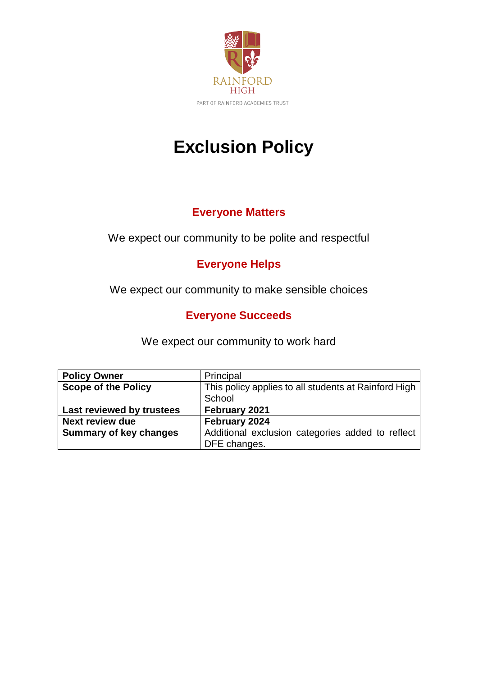

# **Exclusion Policy**

# **Everyone Matters**

# We expect our community to be polite and respectful

# **Everyone Helps**

We expect our community to make sensible choices

# **Everyone Succeeds**

We expect our community to work hard

| <b>Policy Owner</b>           | Principal                                            |
|-------------------------------|------------------------------------------------------|
| <b>Scope of the Policy</b>    | This policy applies to all students at Rainford High |
|                               | School                                               |
| Last reviewed by trustees     | February 2021                                        |
| <b>Next review due</b>        | February 2024                                        |
| <b>Summary of key changes</b> | Additional exclusion categories added to reflect     |
|                               | DFE changes.                                         |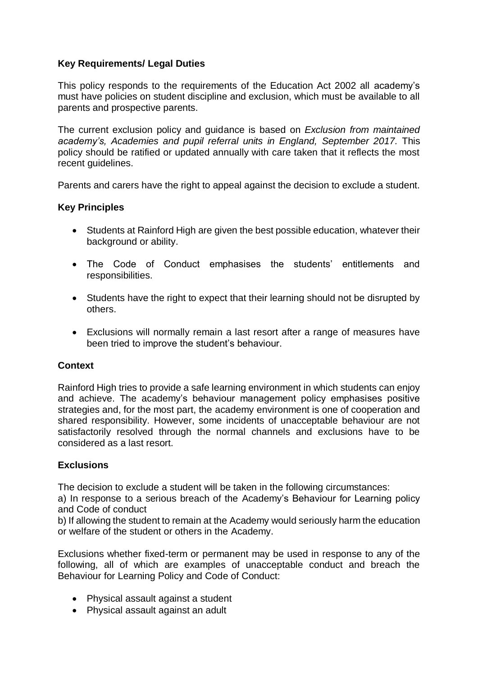#### **Key Requirements/ Legal Duties**

This policy responds to the requirements of the Education Act 2002 all academy's must have policies on student discipline and exclusion, which must be available to all parents and prospective parents.

The current exclusion policy and guidance is based on *Exclusion from maintained academy's, Academies and pupil referral units in England, September 2017.* This policy should be ratified or updated annually with care taken that it reflects the most recent guidelines.

Parents and carers have the right to appeal against the decision to exclude a student.

#### **Key Principles**

- Students at Rainford High are given the best possible education, whatever their background or ability.
- The Code of Conduct emphasises the students' entitlements and responsibilities.
- Students have the right to expect that their learning should not be disrupted by others.
- Exclusions will normally remain a last resort after a range of measures have been tried to improve the student's behaviour.

#### **Context**

Rainford High tries to provide a safe learning environment in which students can enjoy and achieve. The academy's behaviour management policy emphasises positive strategies and, for the most part, the academy environment is one of cooperation and shared responsibility. However, some incidents of unacceptable behaviour are not satisfactorily resolved through the normal channels and exclusions have to be considered as a last resort.

#### **Exclusions**

The decision to exclude a student will be taken in the following circumstances:

a) In response to a serious breach of the Academy's Behaviour for Learning policy and Code of conduct

b) If allowing the student to remain at the Academy would seriously harm the education or welfare of the student or others in the Academy.

Exclusions whether fixed-term or permanent may be used in response to any of the following, all of which are examples of unacceptable conduct and breach the Behaviour for Learning Policy and Code of Conduct:

- Physical assault against a student
- Physical assault against an adult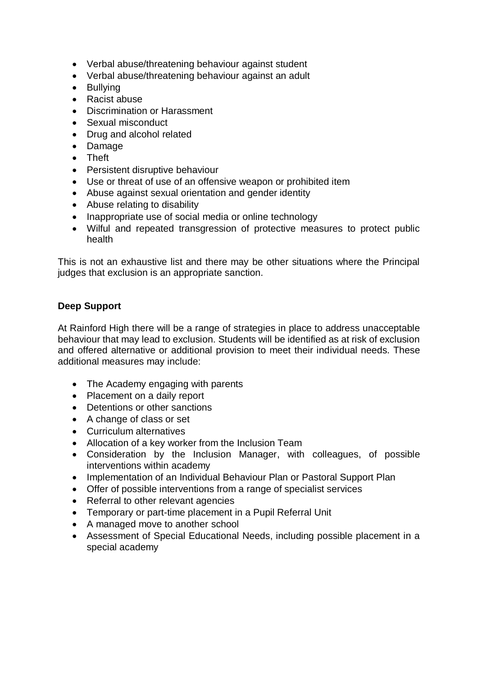- Verbal abuse/threatening behaviour against student
- Verbal abuse/threatening behaviour against an adult
- Bullying
- Racist abuse
- Discrimination or Harassment
- Sexual misconduct
- Drug and alcohol related
- Damage
- Theft
- Persistent disruptive behaviour
- Use or threat of use of an offensive weapon or prohibited item
- Abuse against sexual orientation and gender identity
- Abuse relating to disability
- Inappropriate use of social media or online technology
- Wilful and repeated transgression of protective measures to protect public health

This is not an exhaustive list and there may be other situations where the Principal judges that exclusion is an appropriate sanction.

#### **Deep Support**

At Rainford High there will be a range of strategies in place to address unacceptable behaviour that may lead to exclusion. Students will be identified as at risk of exclusion and offered alternative or additional provision to meet their individual needs. These additional measures may include:

- The Academy engaging with parents
- Placement on a daily report
- Detentions or other sanctions
- A change of class or set
- Curriculum alternatives
- Allocation of a key worker from the Inclusion Team
- Consideration by the Inclusion Manager, with colleagues, of possible interventions within academy
- Implementation of an Individual Behaviour Plan or Pastoral Support Plan
- Offer of possible interventions from a range of specialist services
- Referral to other relevant agencies
- Temporary or part-time placement in a Pupil Referral Unit
- A managed move to another school
- Assessment of Special Educational Needs, including possible placement in a special academy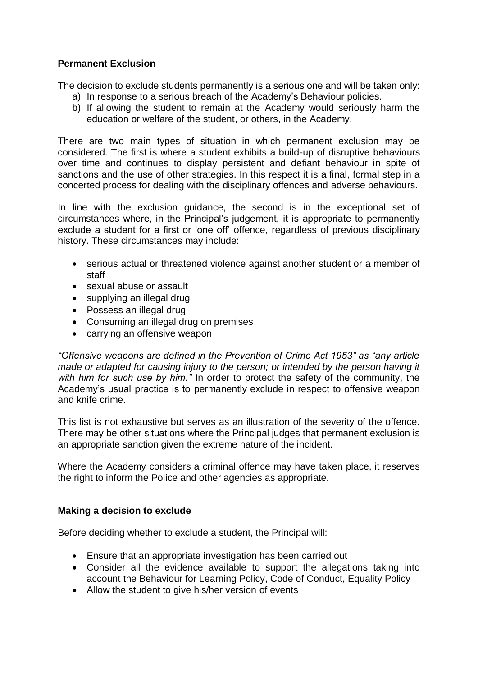#### **Permanent Exclusion**

The decision to exclude students permanently is a serious one and will be taken only:

- a) In response to a serious breach of the Academy's Behaviour policies.
- b) If allowing the student to remain at the Academy would seriously harm the education or welfare of the student, or others, in the Academy.

There are two main types of situation in which permanent exclusion may be considered. The first is where a student exhibits a build-up of disruptive behaviours over time and continues to display persistent and defiant behaviour in spite of sanctions and the use of other strategies. In this respect it is a final, formal step in a concerted process for dealing with the disciplinary offences and adverse behaviours.

In line with the exclusion guidance, the second is in the exceptional set of circumstances where, in the Principal's judgement, it is appropriate to permanently exclude a student for a first or 'one off' offence, regardless of previous disciplinary history. These circumstances may include:

- serious actual or threatened violence against another student or a member of staff
- sexual abuse or assault
- supplying an illegal drug
- Possess an illegal drug
- Consuming an illegal drug on premises
- carrying an offensive weapon

*"Offensive weapons are defined in the Prevention of Crime Act 1953" as "any article made or adapted for causing injury to the person; or intended by the person having it with him for such use by him."* In order to protect the safety of the community, the Academy's usual practice is to permanently exclude in respect to offensive weapon and knife crime.

This list is not exhaustive but serves as an illustration of the severity of the offence. There may be other situations where the Principal judges that permanent exclusion is an appropriate sanction given the extreme nature of the incident.

Where the Academy considers a criminal offence may have taken place, it reserves the right to inform the Police and other agencies as appropriate.

#### **Making a decision to exclude**

Before deciding whether to exclude a student, the Principal will:

- Ensure that an appropriate investigation has been carried out
- Consider all the evidence available to support the allegations taking into account the Behaviour for Learning Policy, Code of Conduct, Equality Policy
- Allow the student to give his/her version of events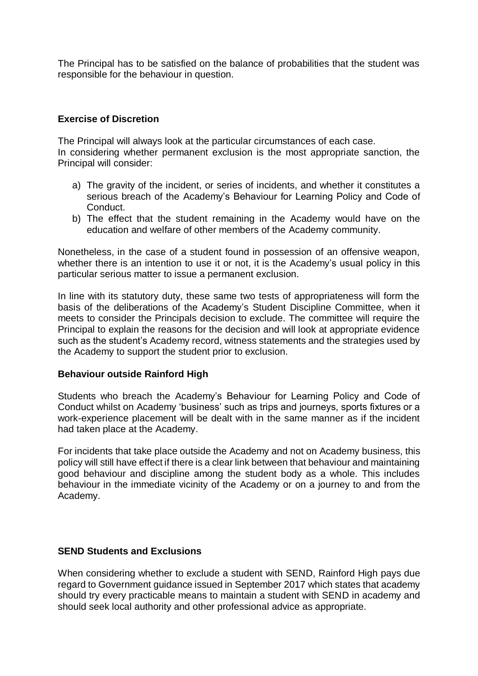The Principal has to be satisfied on the balance of probabilities that the student was responsible for the behaviour in question.

#### **Exercise of Discretion**

The Principal will always look at the particular circumstances of each case.

In considering whether permanent exclusion is the most appropriate sanction, the Principal will consider:

- a) The gravity of the incident, or series of incidents, and whether it constitutes a serious breach of the Academy's Behaviour for Learning Policy and Code of Conduct.
- b) The effect that the student remaining in the Academy would have on the education and welfare of other members of the Academy community.

Nonetheless, in the case of a student found in possession of an offensive weapon, whether there is an intention to use it or not, it is the Academy's usual policy in this particular serious matter to issue a permanent exclusion.

In line with its statutory duty, these same two tests of appropriateness will form the basis of the deliberations of the Academy's Student Discipline Committee, when it meets to consider the Principals decision to exclude. The committee will require the Principal to explain the reasons for the decision and will look at appropriate evidence such as the student's Academy record, witness statements and the strategies used by the Academy to support the student prior to exclusion.

#### **Behaviour outside Rainford High**

Students who breach the Academy's Behaviour for Learning Policy and Code of Conduct whilst on Academy 'business' such as trips and journeys, sports fixtures or a work-experience placement will be dealt with in the same manner as if the incident had taken place at the Academy.

For incidents that take place outside the Academy and not on Academy business, this policy will still have effect if there is a clear link between that behaviour and maintaining good behaviour and discipline among the student body as a whole. This includes behaviour in the immediate vicinity of the Academy or on a journey to and from the Academy.

#### **SEND Students and Exclusions**

When considering whether to exclude a student with SEND, Rainford High pays due regard to Government guidance issued in September 2017 which states that academy should try every practicable means to maintain a student with SEND in academy and should seek local authority and other professional advice as appropriate.